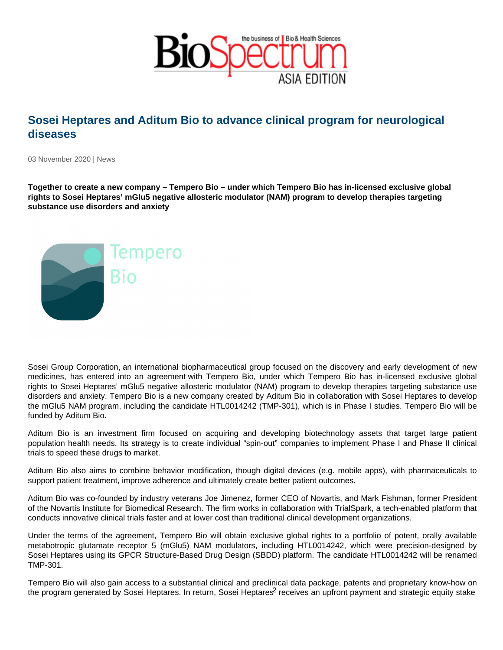## Sosei Heptares and Aditum Bio to advance clinical program for neurological diseases

03 November 2020 | News

Together to create a new company – Tempero Bio – under which Tempero Bio has in-licensed exclusive global rights to Sosei Heptares' mGlu5 negative allosteric modulator (NAM) program to develop therapies targeting substance use disorders and anxiety

Sosei Group Corporation, an international biopharmaceutical group focused on the discovery and early development of new medicines, has entered into an agreement with Tempero Bio, under which Tempero Bio has in-licensed exclusive global rights to Sosei Heptares' mGlu5 negative allosteric modulator (NAM) program to develop therapies targeting substance use disorders and anxiety. Tempero Bio is a new company created by Aditum Bio in collaboration with Sosei Heptares to develop the mGlu5 NAM program, including the candidate HTL0014242 (TMP-301), which is in Phase I studies. Tempero Bio will be funded by Aditum Bio.

Aditum Bio is an investment firm focused on acquiring and developing biotechnology assets that target large patient population health needs. Its strategy is to create individual "spin-out" companies to implement Phase I and Phase II clinical trials to speed these drugs to market.

Aditum Bio also aims to combine behavior modification, though digital devices (e.g. mobile apps), with pharmaceuticals to support patient treatment, improve adherence and ultimately create better patient outcomes.

Aditum Bio was co-founded by industry veterans Joe Jimenez, former CEO of Novartis, and Mark Fishman, former President of the Novartis Institute for Biomedical Research. The firm works in collaboration with TrialSpark, a tech-enabled platform that conducts innovative clinical trials faster and at lower cost than traditional clinical development organizations.

Under the terms of the agreement, Tempero Bio will obtain exclusive global rights to a portfolio of potent, orally available metabotropic glutamate receptor 5 (mGlu5) NAM modulators, including HTL0014242, which were precision-designed by Sosei Heptares using its GPCR Structure-Based Drug Design (SBDD) platform. The candidate HTL0014242 will be renamed TMP-301.

Tempero Bio will also gain access to a substantial clinical and preclinical data package, patents and proprietary know-how on the program generated by Sosei Heptares. In return, Sosei Heptares<sup>2</sup> receives an upfront payment and strategic equity stake